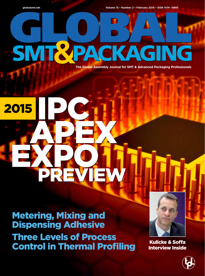

**globalsmt.net Volume 15 • Number 2 • February 2015 • ISSN 1474 –0893**

# **SMT&PAC AGING**

**The Global Assembly Journal for SMT & Advanced Packaging Professionals**

## IPC APEX EXPO **2015** APEX EXPO

Metering, Mixing and Dispensing Adhesive Three Levels of Process Control in Thermal Profiling

PREVIEW

PREVIEW



Kulicke & Soffa Interview Inside

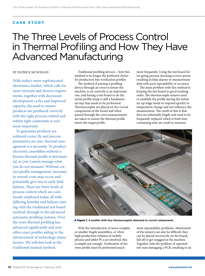#### CASE STUDY

### The Three Levels of Process Control in Thermal Profiling and How They Have Advanced Manufacturing

#### BY PATRICK MCWIGGIN

With today's more sophisticated electronics market, which calls for more intricate and diverse requirements, together with decreased development cycles and improved capacity, the need to ensure products are produced correctly with the right process control and within tight constraints is ever more important.

To guarantee products are soldered correc tly and process parameters are met, thermal management is a necessity. To produce electronic assemblies without a known thermal profile is detrimental, as you 'cannot manage what you do not measure'. Without correct profile management, increases in rework costs may occur and potentially give rise to early field failures. There are three levels of process control which are commonly employed today, all with differing benefits and failures starting with the traditional test board method, through to the advanced automatic profiling systems. Over the years thermal profiling has advanced significantly and now offers exact profiles aiding in the advancement of technology manufacture. We will first look at the traditional manual method.

Traditional profiling devices – how this method is no longer the preferred choice for production line verification profiles

The method of passing a profiling device through an oven to ensure the machine is set correctly is an important one, and having a test board to do the initial profile setup is still a fundamental step that needs to be performed. Thermocouples are placed on the crucial components of the board and when passed through the oven measurements are taken to ensure the thermal profile meets the target profile.

more frequently. Using the test board for on-going process checking is error prone, resulting in false alarms or measurement data with poor repeatability or accuracy.

The main problem with this method is keeping the test board in good working order. The thermocouple sensors used to establish the profile during the initial set-up stage needs to respond quickly to temperature change and not influence the measurement. The result of this is that they are inherently fragile and need to be frequently replaced which is both time consuming and can result in measure-



■ Figure 1. A profiler with four thermocouples attached to crucial components.

With the introduction of more complex or smaller fragile assemblies, or when high production volumes of mobile phones and tablet PCs are involved, this is simply not enough. Verification of the oven profile must be performed much

ment repeatability problems. Attachment of the sensors can also be difficult; they can be placed incorrectly on the board, fall off or get snagged in the machine. Together with the problem of repeated test runs damaging a PCB, resulting in an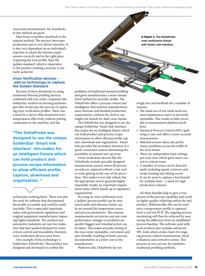inaccurate measurement, the drawbacks to this method are great.

Man hours is another drawback to the manual method. The process interrupts production and is very labour intensive. It is also very dependent on an individual's expertise to attach the thermocouple sensors correctly and in the right place. Capturing the true profile, then the 'golden standard', which is imperative to the product working correctly, is not easily achieved.

#### **Oven Verification devices – add-on technology to capture the Golden Standard**

Because of these drawbacks to using traditional thermal profiling devices, combined with test cards, companies like SolderStar, worked on devising technologies that would ease the process of capturing oven verification profiles. There was a need for a device that monitored oven temperatures effectively, without putting constraints on the machine, and the

**"The DeltaProbe was designed to use the unique SolderStar 'Smart link interface', this makes for an intelligent fixture which can hold product and process recipe information to allow efficient profile capture, download and organisation. "**

technicians working them. There was also the need for software that documented the profile accurately and could be easily traceable. This is especially important today with government regulations and original equipment manufacturers imposing higher standards. The medical and automotive industries are just two industries that have pushed demand for more critical control and traceability, therefore oven verification devices were born.

One example of this technology is SolderStar's DeltaProbe. This product was designed and developed to combat the

problems of traditional manual profiling and gives manufacturers a more streamlined method for periodic profile. The DeltaProbe offers a process control and intelligence that matches manufacturers more intricate and detailed production requirements, without the need to use fragile test boards for daily oven checks.

The DeltaProbe was designed to use the unique SolderStar 'Smart link interface', this makes for an intelligent fixture which can hold product and process recipe information to allow efficient profile capture, download and organisation. Smart link provides the secondary function of a quick connection system eliminating the possibility of channel mix-up error.

Oven verification devices like the DeltaProbe include specially designed measurement sensors where all process records are captured without a test card or wires getting in the way of the procedure. This makes it not only robust, but the appropriate tool to generate highly repeatable results, an important requirement today, which stands up to regulatory requirements.

By using an oven verification tool, a 'golden' process profile can be measured easily and tolerance limits can be set around the temperature traces and process parameters. This ensures measurements are precise and any oven performance changes or problems are quickly flagged and remedial action can be taken. This makes periodic testing of the oven more repeatable, convenient and user-friendly, resulting in better process documentation at a lower cost to the manufacturer.

Platforms like DeltaProbe far out-

■ **Figure 2.** The DeltaProbe **oven verification fixture with Smart Link interface.**

weigh test card methods for a number of reasons;

- The usual use of test cards need constant maintenance and it is not easily repeatable. This results in false errors due to measurement platform problems.
- Statistical Process Control (SPC) gathering is easy and offers a more accurate measurement.
- Matched sensors show any performance problems across the width of the oven heater.
- There are independent limit settings per oven zone which gives more control in critical zones.
- A number of errors can be detected easily including speed, conveyor and recipe loading and editing errors.
- It can be used to capture a benchmark for multiple lines – a must for high production volumes

All these benefits help to give a true picture of the process capability and result in higher quality soldering within the end product. Platforms like this can be used once a temperature profile is captured from a real test PCB. The ongoing process monitoring will then be achieved by measuring the difference from an established process baseline. The software used with such products also includes advanced SPC tools which create charts for ongoing process control measurement, trend evaluation and corrective action. This process, as you can see, far outshines traditional profiling methods.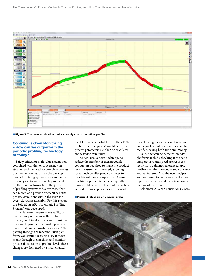

#### ■ Figure 3. The oven verification tool accurately charts the reflow profile.

#### **Continuous Oven Monitoring – How can we outperform the periodic profiling technology of today?**

Safety critical or high value assemblies, combined with tighter processing constraints, and the need for complete process documentation has driven the development of profiling systems that can monitor every electronic assembly produced on the manufacturing line. The pinnacle of profiling systems today are those that can record and provide traceability of the process conditions within the oven for every electronic assembly. For this reason the SolderStar APS (Automatic Profiling Systems) was developed.

The platform measures the stability of the process parameters within a thermal process, combined with assembly position tracking, to produce the most representative virtual profile possible for every PCB passing through the machine. Such platforms can continuously track PCB movements through the machine and monitor process fluctuations at product level. These changes are then used by a mathematical

model to calculate what the resulting PCB profile or 'virtual profile' would be. These process parameters can then be calculated and tested within limits.

The APS uses a novel technique to reduce the number of thermocouple conductors required to make the product level measurements needed, allowing for a much smaller probe diameter to be achieved. For example on a 14 zone machine a probe diameter of typically 6mm could be used. This results in robust yet fast response probe design essential

#### ■ **Figure 4.** Close up of a typical probe.

for achieving the detection of machine faults quickly and easily so they can be rectified, saving both time and money.

Faults that can be detected on APS platforms include checking if the zone temperatures and speed are set incorrectly from a defined reference, rapid feedback on thermocouple and conveyor and fan failures. Also the oven recipes are monitored to finally ensure they are inputted correctly and there is no overloading of the oven.

SolderStar APS can continuously com-